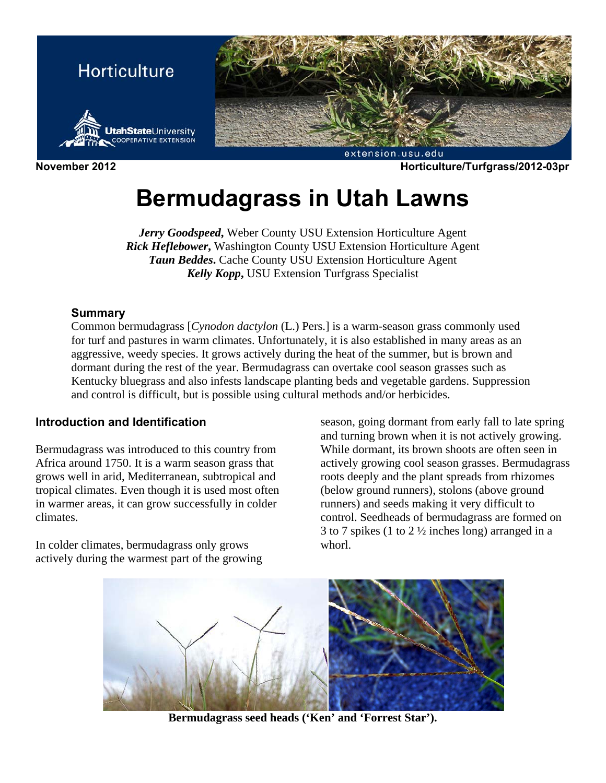

**November 2012 Horticulture/Turfgrass/2012-03pr** 

# **Bermudagrass in Utah Lawns**

*Jerry Goodspeed***,** Weber County USU Extension Horticulture Agent *Rick Heflebower***,** Washington County USU Extension Horticulture Agent *Taun Beddes***.** Cache County USU Extension Horticulture Agent *Kelly Kopp***,** USU Extension Turfgrass Specialist

## **Summary**

Common bermudagrass [*Cynodon dactylon* (L.) Pers.] is a warm-season grass commonly used for turf and pastures in warm climates. Unfortunately, it is also established in many areas as an aggressive, weedy species. It grows actively during the heat of the summer, but is brown and dormant during the rest of the year. Bermudagrass can overtake cool season grasses such as Kentucky bluegrass and also infests landscape planting beds and vegetable gardens. Suppression and control is difficult, but is possible using cultural methods and/or herbicides.

## **Introduction and Identification**

Bermudagrass was introduced to this country from Africa around 1750. It is a warm season grass that grows well in arid, Mediterranean, subtropical and tropical climates. Even though it is used most often in warmer areas, it can grow successfully in colder climates.

In colder climates, bermudagrass only grows actively during the warmest part of the growing season, going dormant from early fall to late spring and turning brown when it is not actively growing. While dormant, its brown shoots are often seen in actively growing cool season grasses. Bermudagrass roots deeply and the plant spreads from rhizomes (below ground runners), stolons (above ground runners) and seeds making it very difficult to control. Seedheads of bermudagrass are formed on 3 to 7 spikes (1 to 2 ½ inches long) arranged in a whorl.



**Bermudagrass seed heads ('Ken' and 'Forrest Star').**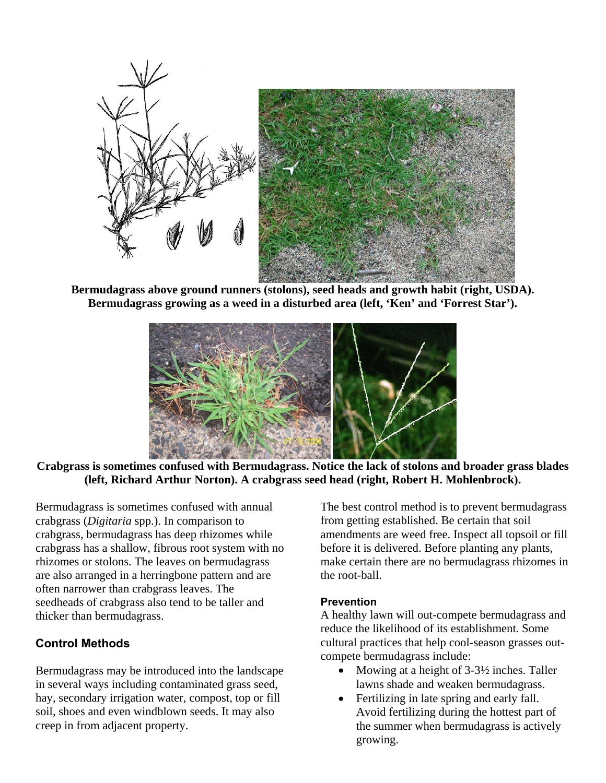

**Bermudagrass above ground runners (stolons), seed heads and growth habit (right, USDA). Bermudagrass growing as a weed in a disturbed area (left, 'Ken' and 'Forrest Star').** 



**Crabgrass is sometimes confused with Bermudagrass. Notice the lack of stolons and broader grass blades (left, Richard Arthur Norton). A crabgrass seed head (right, Robert H. Mohlenbrock).** 

Bermudagrass is sometimes confused with annual crabgrass (*Digitaria* spp.). In comparison to crabgrass, bermudagrass has deep rhizomes while crabgrass has a shallow, fibrous root system with no rhizomes or stolons. The leaves on bermudagrass are also arranged in a herringbone pattern and are often narrower than crabgrass leaves. The seedheads of crabgrass also tend to be taller and thicker than bermudagrass.

## **Control Methods**

Bermudagrass may be introduced into the landscape in several ways including contaminated grass seed, hay, secondary irrigation water, compost, top or fill soil, shoes and even windblown seeds. It may also creep in from adjacent property.

The best control method is to prevent bermudagrass from getting established. Be certain that soil amendments are weed free. Inspect all topsoil or fill before it is delivered. Before planting any plants, make certain there are no bermudagrass rhizomes in the root-ball.

## **Prevention**

A healthy lawn will out-compete bermudagrass and reduce the likelihood of its establishment. Some cultural practices that help cool-season grasses outcompete bermudagrass include:

- Mowing at a height of  $3-3\frac{1}{2}$  inches. Taller lawns shade and weaken bermudagrass.
- Fertilizing in late spring and early fall. Avoid fertilizing during the hottest part of the summer when bermudagrass is actively growing.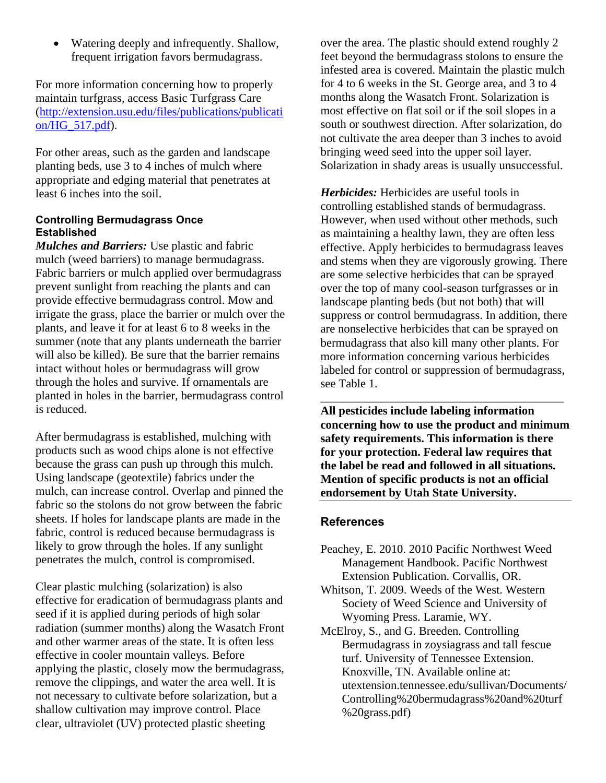Watering deeply and infrequently. Shallow, frequent irrigation favors bermudagrass.

For more information concerning how to properly maintain turfgrass, access Basic Turfgrass Care (http://extension.usu.edu/files/publications/publicati on/HG\_517.pdf).

For other areas, such as the garden and landscape planting beds, use 3 to 4 inches of mulch where appropriate and edging material that penetrates at least 6 inches into the soil.

#### **Controlling Bermudagrass Once Established**

*Mulches and Barriers:* Use plastic and fabric mulch (weed barriers) to manage bermudagrass. Fabric barriers or mulch applied over bermudagrass prevent sunlight from reaching the plants and can provide effective bermudagrass control. Mow and irrigate the grass, place the barrier or mulch over the plants, and leave it for at least 6 to 8 weeks in the summer (note that any plants underneath the barrier will also be killed). Be sure that the barrier remains intact without holes or bermudagrass will grow through the holes and survive. If ornamentals are planted in holes in the barrier, bermudagrass control is reduced.

After bermudagrass is established, mulching with products such as wood chips alone is not effective because the grass can push up through this mulch. Using landscape (geotextile) fabrics under the mulch, can increase control. Overlap and pinned the fabric so the stolons do not grow between the fabric sheets. If holes for landscape plants are made in the fabric, control is reduced because bermudagrass is likely to grow through the holes. If any sunlight penetrates the mulch, control is compromised.

Clear plastic mulching (solarization) is also effective for eradication of bermudagrass plants and seed if it is applied during periods of high solar radiation (summer months) along the Wasatch Front and other warmer areas of the state. It is often less effective in cooler mountain valleys. Before applying the plastic, closely mow the bermudagrass, remove the clippings, and water the area well. It is not necessary to cultivate before solarization, but a shallow cultivation may improve control. Place clear, ultraviolet (UV) protected plastic sheeting

over the area. The plastic should extend roughly 2 feet beyond the bermudagrass stolons to ensure the infested area is covered. Maintain the plastic mulch for 4 to 6 weeks in the St. George area, and 3 to 4 months along the Wasatch Front. Solarization is most effective on flat soil or if the soil slopes in a south or southwest direction. After solarization, do not cultivate the area deeper than 3 inches to avoid bringing weed seed into the upper soil layer. Solarization in shady areas is usually unsuccessful.

*Herbicides:* Herbicides are useful tools in controlling established stands of bermudagrass. However, when used without other methods, such as maintaining a healthy lawn, they are often less effective. Apply herbicides to bermudagrass leaves and stems when they are vigorously growing. There are some selective herbicides that can be sprayed over the top of many cool-season turfgrasses or in landscape planting beds (but not both) that will suppress or control bermudagrass. In addition, there are nonselective herbicides that can be sprayed on bermudagrass that also kill many other plants. For more information concerning various herbicides labeled for control or suppression of bermudagrass, see Table 1.

**All pesticides include labeling information concerning how to use the product and minimum safety requirements. This information is there for your protection. Federal law requires that the label be read and followed in all situations. Mention of specific products is not an official endorsement by Utah State University.** 

\_\_\_\_\_\_\_\_\_\_\_\_\_\_\_\_\_\_\_\_\_\_\_\_\_\_\_\_\_\_\_\_\_\_\_\_\_\_\_\_\_

## **References**

- Peachey, E. 2010. 2010 Pacific Northwest Weed Management Handbook. Pacific Northwest Extension Publication. Corvallis, OR.
- Whitson, T. 2009. Weeds of the West. Western Society of Weed Science and University of Wyoming Press. Laramie, WY.
- McElroy, S., and G. Breeden. Controlling Bermudagrass in zoysiagrass and tall fescue turf. University of Tennessee Extension. Knoxville, TN. Available online at: utextension.tennessee.edu/sullivan/Documents/ Controlling%20bermudagrass%20and%20turf %20grass.pdf)